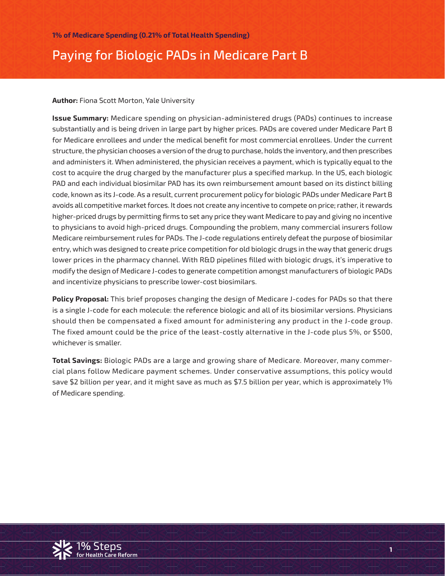# Paying for Biologic PADs in Medicare Part B

#### **Author:** Fiona Scott Morton, Yale University

**Issue Summary:** Medicare spending on physician-administered drugs (PADs) continues to increase substantially and is being driven in large part by higher prices. PADs are covered under Medicare Part B for Medicare enrollees and under the medical benefit for most commercial enrollees. Under the current structure, the physician chooses a version of the drug to purchase, holds the inventory, and then prescribes and administers it. When administered, the physician receives a payment, which is typically equal to the cost to acquire the drug charged by the manufacturer plus a specified markup. In the US, each biologic PAD and each individual biosimilar PAD has its own reimbursement amount based on its distinct billing code, known as its J-code. As a result, current procurement policy for biologic PADs under Medicare Part B avoids all competitive market forces. It does not create any incentive to compete on price; rather, it rewards higher-priced drugs by permitting firms to set any price they want Medicare to pay and giving no incentive to physicians to avoid high-priced drugs. Compounding the problem, many commercial insurers follow Medicare reimbursement rules for PADs. The J-code regulations entirely defeat the purpose of biosimilar entry, which was designed to create price competition for old biologic drugs in the way that generic drugs lower prices in the pharmacy channel. With R&D pipelines filled with biologic drugs, it's imperative to modify the design of Medicare J-codes to generate competition amongst manufacturers of biologic PADs and incentivize physicians to prescribe lower-cost biosimilars.

**Policy Proposal:** This brief proposes changing the design of Medicare J-codes for PADs so that there is a single J-code for each molecule: the reference biologic and all of its biosimilar versions. Physicians should then be compensated a fixed amount for administering any product in the J-code group. The fixed amount could be the price of the least-costly alternative in the J-code plus 5%, or \$500, whichever is smaller.

**Total Savings:** Biologic PADs are a large and growing share of Medicare. Moreover, many commercial plans follow Medicare payment schemes. Under conservative assumptions, this policy would save \$2 billion per year, and it might save as much as \$7.5 billion per year, which is approximately 1% of Medicare spending.

**1**

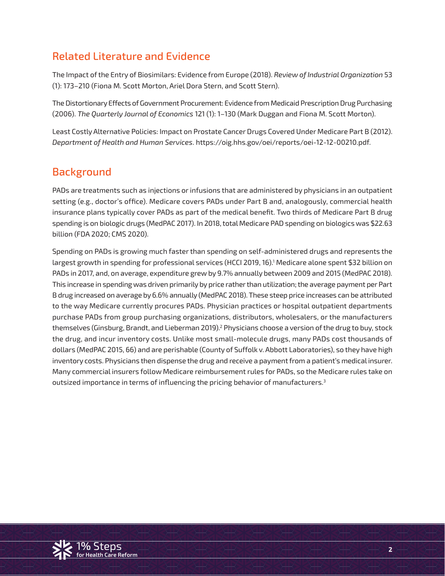# Related Literature and Evidence

The Impact of the Entry of Biosimilars: Evidence from Europe (2018). *Review of Industrial Organization* 53 (1): 173–210 (Fiona M. Scott Morton, Ariel Dora Stern, and Scott Stern).

The Distortionary Effects of Government Procurement: Evidence from Medicaid Prescription Drug Purchasing (2006). *The Quarterly Journal of Economics* 121 (1): 1–130 (Mark Duggan and Fiona M. Scott Morton).

Least Costly Alternative Policies: Impact on Prostate Cancer Drugs Covered Under Medicare Part B (2012). *Department of Health and Human Services*. https://oig.hhs.gov/oei/reports/oei-12-12-00210.pdf.

### **Background**

PADs are treatments such as injections or infusions that are administered by physicians in an outpatient setting (e.g., doctor's office). Medicare covers PADs under Part B and, analogously, commercial health insurance plans typically cover PADs as part of the medical benefit. Two thirds of Medicare Part B drug spending is on biologic drugs (MedPAC 2017). In 2018, total Medicare PAD spending on biologics was \$22.63 billion (FDA 2020; CMS 2020).

Spending on PADs is growing much faster than spending on self-administered drugs and represents the largest growth in spending for professional services (HCCI 2019, 16).1 Medicare alone spent \$32 billion on PADs in 2017, and, on average, expenditure grew by 9.7% annually between 2009 and 2015 (MedPAC 2018). This increase in spending was driven primarily by price rather than utilization; the average payment per Part B drug increased on average by 6.6% annually (MedPAC 2018). These steep price increases can be attributed to the way Medicare currently procures PADs. Physician practices or hospital outpatient departments purchase PADs from group purchasing organizations, distributors, wholesalers, or the manufacturers themselves (Ginsburg, Brandt, and Lieberman 2019).<sup>2</sup> Physicians choose a version of the drug to buy, stock the drug, and incur inventory costs. Unlike most small-molecule drugs, many PADs cost thousands of dollars (MedPAC 2015, 66) and are perishable (County of Suffolk v. Abbott Laboratories), so they have high inventory costs. Physicians then dispense the drug and receive a payment from a patient's medical insurer. Many commercial insurers follow Medicare reimbursement rules for PADs, so the Medicare rules take on outsized importance in terms of influencing the pricing behavior of manufacturers.<sup>3</sup>

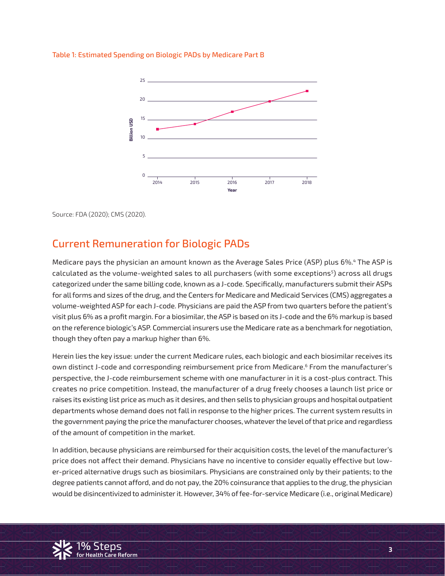

#### Table 1: Estimated Spending on Biologic PADs by Medicare Part B

Source: FDA (2020); CMS (2020).

#### Current Remuneration for Biologic PADs

Medicare pays the physician an amount known as the Average Sales Price (ASP) plus 6%.4 The ASP is calculated as the volume-weighted sales to all purchasers (with some exceptions<sup>5</sup>) across all drugs categorized under the same billing code, known as a J-code. Specifically, manufacturers submit their ASPs for all forms and sizes of the drug, and the Centers for Medicare and Medicaid Services (CMS) aggregates a volume-weighted ASP for each J-code. Physicians are paid the ASP from two quarters before the patient's visit plus 6% as a profit margin. For a biosimilar, the ASP is based on its J-code and the 6% markup is based on the reference biologic's ASP. Commercial insurers use the Medicare rate as a benchmark for negotiation, though they often pay a markup higher than 6%.

Herein lies the key issue: under the current Medicare rules, each biologic and each biosimilar receives its own distinct J-code and corresponding reimbursement price from Medicare.<sup>6</sup> From the manufacturer's perspective, the J-code reimbursement scheme with one manufacturer in it is a cost-plus contract. This creates no price competition. Instead, the manufacturer of a drug freely chooses a launch list price or raises its existing list price as much as it desires, and then sells to physician groups and hospital outpatient departments whose demand does not fall in response to the higher prices. The current system results in the government paying the price the manufacturer chooses, whatever the level of that price and regardless of the amount of competition in the market.

price does not arrect their demand. Frigsicians nave no incentive to consider equally errective but tow-<br>er-priced alternative drugs such as biosimilars. Physicians are constrained only by their patients; to the degree patients cannot afford, and do not pay, the 20% coinsurance that applies to the drug, the physician In addition, because physicians are reimbursed for their acquisition costs, the level of the manufacturer's price does not affect their demand. Physicians have no incentive to consider equally effective but lowwould be disincentivized to administer it. However, 34% of fee-for-service Medicare (i.e., original Medicare)

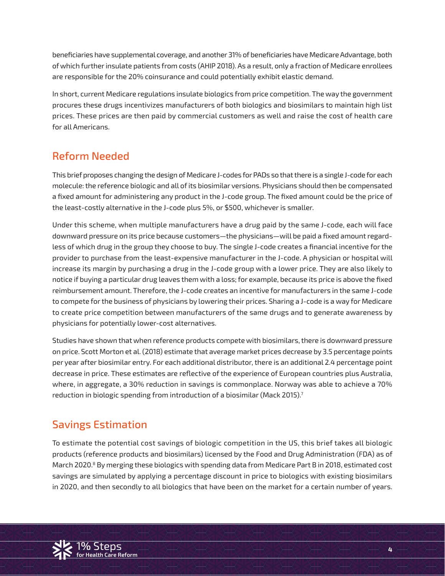beneficiaries have supplemental coverage, and another 31% of beneficiaries have Medicare Advantage, both of which further insulate patients from costs (AHIP 2018). As a result, only a fraction of Medicare enrollees are responsible for the 20% coinsurance and could potentially exhibit elastic demand.

In short, current Medicare regulations insulate biologics from price competition. The way the government procures these drugs incentivizes manufacturers of both biologics and biosimilars to maintain high list prices. These prices are then paid by commercial customers as well and raise the cost of health care for all Americans.

# Reform Needed

This brief proposes changing the design of Medicare J-codes for PADs so that there is a single J-code for each molecule: the reference biologic and all of its biosimilar versions. Physicians should then be compensated a fixed amount for administering any product in the J-code group. The fixed amount could be the price of the least-costly alternative in the J-code plus 5%, or \$500, whichever is smaller.

Under this scheme, when multiple manufacturers have a drug paid by the same J-code, each will face downward pressure on its price because customers—the physicians—will be paid a fixed amount regardless of which drug in the group they choose to buy. The single J-code creates a financial incentive for the provider to purchase from the least-expensive manufacturer in the J-code. A physician or hospital will increase its margin by purchasing a drug in the J-code group with a lower price. They are also likely to notice if buying a particular drug leaves them with a loss; for example, because its price is above the fixed reimbursement amount. Therefore, the J-code creates an incentive for manufacturers in the same J-code to compete for the business of physicians by lowering their prices. Sharing a J-code is a way for Medicare to create price competition between manufacturers of the same drugs and to generate awareness by physicians for potentially lower-cost alternatives.

Studies have shown that when reference products compete with biosimilars, there is downward pressure on price. Scott Morton et al. (2018) estimate that average market prices decrease by 3.5 percentage points per year after biosimilar entry. For each additional distributor, there is an additional 2.4 percentage point decrease in price. These estimates are reflective of the experience of European countries plus Australia, where, in aggregate, a 30% reduction in savings is commonplace. Norway was able to achieve a 70% reduction in biologic spending from introduction of a biosimilar (Mack 2015).<sup>7</sup>

## Savings Estimation

March 2020.<sup>8</sup> By merging these biologics with spending data from Medicare Part B in 2018, estimated cost<br>savings are simulated by applying a percentage discount in price to biologics with existing biosimilars. **for Health Care Reform** in 2020, and then secondly to all biologics that have been on the market for a certain number of years. To estimate the potential cost savings of biologic competition in the US, this brief takes all biologic products (reference products and biosimilars) licensed by the Food and Drug Administration (FDA) as of savings are simulated by applying a percentage discount in price to biologics with existing biosimilars

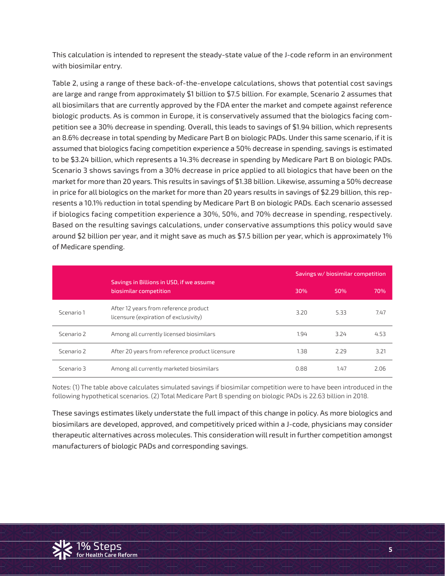This calculation is intended to represent the steady-state value of the J-code reform in an environment with biosimilar entry.

Table 2, using a range of these back-of-the-envelope calculations, shows that potential cost savings are large and range from approximately \$1 billion to \$7.5 billion. For example, Scenario 2 assumes that all biosimilars that are currently approved by the FDA enter the market and compete against reference biologic products. As is common in Europe, it is conservatively assumed that the biologics facing competition see a 30% decrease in spending. Overall, this leads to savings of \$1.94 billion, which represents an 8.6% decrease in total spending by Medicare Part B on biologic PADs. Under this same scenario, if it is assumed that biologics facing competition experience a 50% decrease in spending, savings is estimated to be \$3.24 billion, which represents a 14.3% decrease in spending by Medicare Part B on biologic PADs. Scenario 3 shows savings from a 30% decrease in price applied to all biologics that have been on the market for more than 20 years. This results in savings of \$1.38 billion. Likewise, assuming a 50% decrease in price for all biologics on the market for more than 20 years results in savings of \$2.29 billion, this represents a 10.1% reduction in total spending by Medicare Part B on biologic PADs. Each scenario assessed if biologics facing competition experience a 30%, 50%, and 70% decrease in spending, respectively. Based on the resulting savings calculations, under conservative assumptions this policy would save around \$2 billion per year, and it might save as much as \$7.5 billion per year, which is approximately 1% of Medicare spending.

|            | Savings in Billions in USD, if we assume<br>biosimilar competition             |      | Savings w/ biosimilar competition |      |  |
|------------|--------------------------------------------------------------------------------|------|-----------------------------------|------|--|
|            |                                                                                | 30%  | 50%                               | 70%  |  |
| Scenario 1 | After 12 years from reference product<br>licensure (expiration of exclusivity) | 3.20 | 5.33                              | 7.47 |  |
| Scenario 2 | Among all currently licensed biosimilars                                       | 1.94 | 3.24                              | 4.53 |  |
| Scenario 2 | After 20 years from reference product licensure                                | 1.38 | 2.29                              | 3.21 |  |
| Scenario 3 | Among all currently marketed biosimilars                                       | 0.88 | 1.47                              | 2.06 |  |

Notes: (1) The table above calculates simulated savings if biosimilar competition were to have been introduced in the following hypothetical scenarios. (2) Total Medicare Part B spending on biologic PADs is 22.63 billion in 2018.

These savings estimates likely understate the full impact of this change in policy. As more biologics and biosimilars are developed, approved, and competitively priced within a J-code, physicians may consider therapeutic alternatives across molecules. This consideration will result in further competition amongst manufacturers of biologic PADs and corresponding savings.

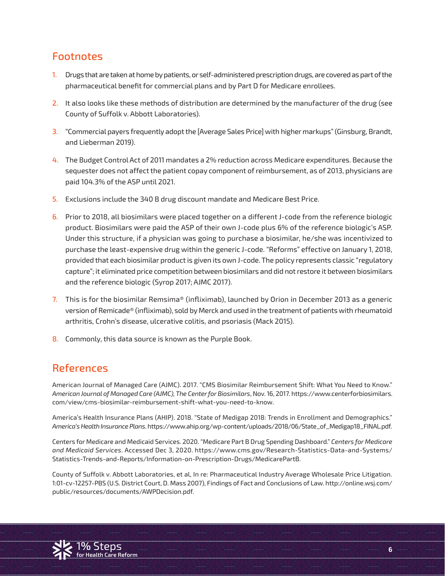### Footnotes

- 1. Drugs that are taken at home by patients, or self-administered prescription drugs, are covered as part of the pharmaceutical benefit for commercial plans and by Part D for Medicare enrollees.
- 2. It also looks like these methods of distribution are determined by the manufacturer of the drug (see County of Suffolk v. Abbott Laboratories).
- 3. "Commercial payers frequently adopt the [Average Sales Price] with higher markups" (Ginsburg, Brandt, and Lieberman 2019).
- 4. The Budget Control Act of 2011 mandates a 2% reduction across Medicare expenditures. Because the sequester does not affect the patient copay component of reimbursement, as of 2013, physicians are paid 104.3% of the ASP until 2021.
- 5. Exclusions include the 340 B drug discount mandate and Medicare Best Price.
- 6. Prior to 2018, all biosimilars were placed together on a different J-code from the reference biologic product. Biosimilars were paid the ASP of their own J-code plus 6% of the reference biologic's ASP. Under this structure, if a physician was going to purchase a biosimilar, he/she was incentivized to purchase the least-expensive drug within the generic J-code. "Reforms" effective on January 1, 2018, provided that each biosimilar product is given its own J-code. The policy represents classic "regulatory capture"; it eliminated price competition between biosimilars and did not restore it between biosimilars and the reference biologic (Syrop 2017; AJMC 2017).
- 7. This is for the biosimilar Remsima® (infliximab), launched by Orion in December 2013 as a generic version of Remicade® (infliximab), sold by Merck and used in the treatment of patients with rheumatoid arthritis, Crohn's disease, ulcerative colitis, and psoriasis (Mack 2015).
- 8. Commonly, this data source is known as the Purple Book.

#### References

American Journal of Managed Care (AJMC). 2017. "CMS Biosimilar Reimbursement Shift: What You Need to Know." *American Journal of Managed Care (AJMC), The Center for Biosimilars*, Nov. 16, 2017. https://www.centerforbiosimilars. com/view/cms-biosimilar-reimbursement-shift-what-you-need-to-know.

America's Health Insurance Plans (AHIP). 2018. "State of Medigap 2018: Trends in Enrollment and Demographics." *America's Health Insurance Plans*. https://www.ahip.org/wp-content/uploads/2018/06/State\_of\_Medigap18\_FINAL.pdf.

Centers for Medicare and Medicaid Services. 2020. "Medicare Part B Drug Spending Dashboard." *Centers for Medicare and Medicaid Services*. Accessed Dec 3, 2020. https://www.cms.gov/Research-Statistics-Data-and-Systems/ Statistics-Trends-and-Reports/Information-on-Prescription-Drugs/MedicarePartB.

1**%** Steps County of Suffolk v. Abbott Laboratories, et al, In re: Pharmaceutical Industry Average Wholesale Price Litigation. **for Health Care Reform** 1:01-cv-12257-PBS (U.S. District Court, D. Mass 2007), Findings of Fact and Conclusions of Law. http://online.wsj.com/ public/resources/documents/AWPDecision.pdf.